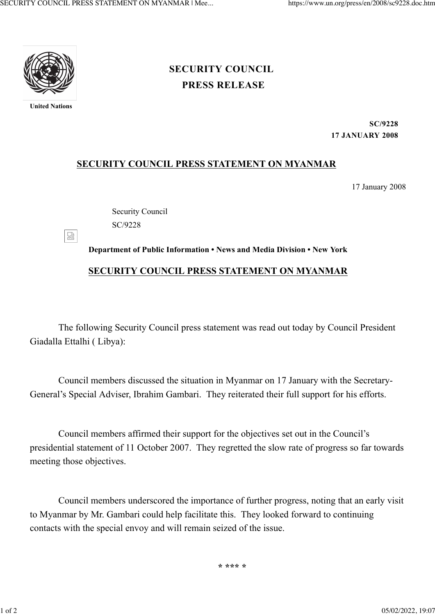

**United Nations**

## **[PRESS RELEASE](https://www.un.org/press/en/press-release) [SECURITY COUNCIL](https://www.un.org/press/en/security-council)**

**SC/9228 17 JANUARY 2008**

## **SECURITY COUNCIL PRESS STATEMENT ON MYANMAR**

17 January 2008

Security Council SC/9228

図 **Department of Public Information • News and Media Division • New York SECURITY COUNCIL PRESS STATEMENT ON MYANMAR**

The following Security Council press statement was read out today by Council President Giadalla Ettalhi ( Libya):

Council members discussed the situation in Myanmar on 17 January with the Secretary-General's Special Adviser, Ibrahim Gambari. They reiterated their full support for his efforts.

Council members affirmed their support for the objectives set out in the Council's presidential statement of 11 October 2007. They regretted the slow rate of progress so far towards meeting those objectives.

Council members underscored the importance of further progress, noting that an early visit to Myanmar by Mr. Gambari could help facilitate this. They looked forward to continuing contacts with the special envoy and will remain seized of the issue.

**\* \*\*\* \***